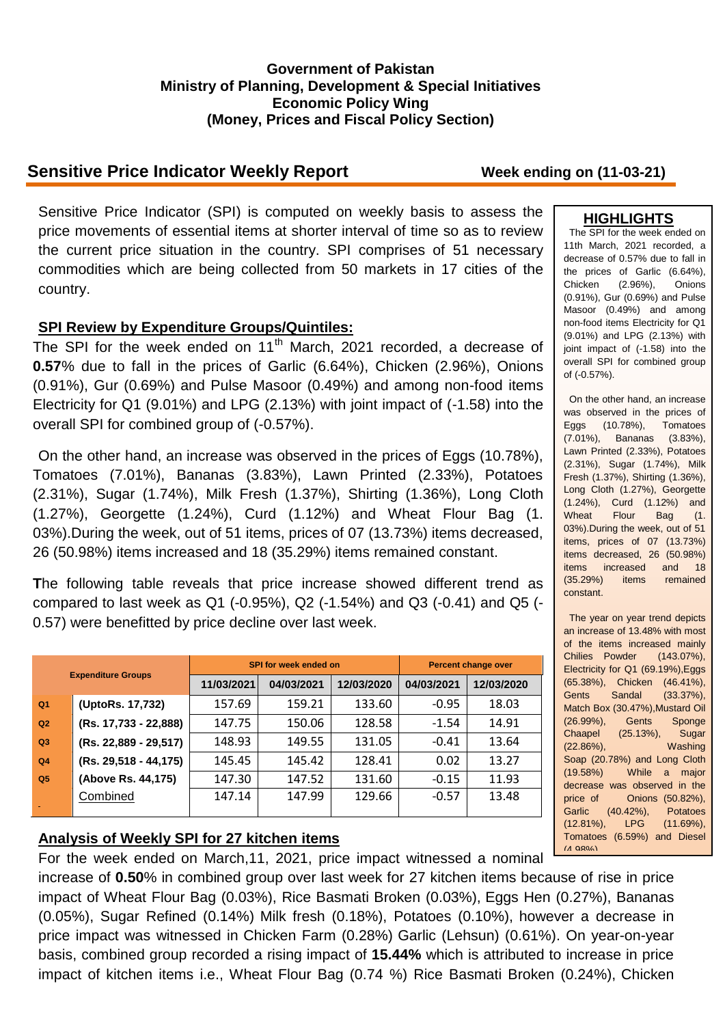### **Government of Pakistan Ministry of Planning, Development & Special Initiatives Economic Policy Wing (Money, Prices and Fiscal Policy Section)**

# **Sensitive Price Indicator Weekly Report Week ending on (11-03-21)**

Sensitive Price Indicator (SPI) is computed on weekly basis to assess the price movements of essential items at shorter interval of time so as to review the current price situation in the country. SPI comprises of 51 necessary commodities which are being collected from 50 markets in 17 cities of the country.

### **SPI Review by Expenditure Groups/Quintiles:**

The SPI for the week ended on 11<sup>th</sup> March, 2021 recorded, a decrease of **0.57**% due to fall in the prices of Garlic (6.64%), Chicken (2.96%), Onions (0.91%), Gur (0.69%) and Pulse Masoor (0.49%) and among non-food items Electricity for Q1 (9.01%) and LPG (2.13%) with joint impact of (-1.58) into the overall SPI for combined group of (-0.57%).

On the other hand, an increase was observed in the prices of Eggs (10.78%), Tomatoes (7.01%), Bananas (3.83%), Lawn Printed (2.33%), Potatoes (2.31%), Sugar (1.74%), Milk Fresh (1.37%), Shirting (1.36%), Long Cloth (1.27%), Georgette (1.24%), Curd (1.12%) and Wheat Flour Bag (1. 03%).During the week, out of 51 items, prices of 07 (13.73%) items decreased, 26 (50.98%) items increased and 18 (35.29%) items remained constant.

**T**he following table reveals that price increase showed different trend as compared to last week as Q1 (-0.95%), Q2 (-1.54%) and Q3 (-0.41) and Q5 (- 0.57) were benefitted by price decline over last week.

| <b>Expenditure Groups</b> |                       |            | SPI for week ended on | <b>Percent change over</b> |            |            |
|---------------------------|-----------------------|------------|-----------------------|----------------------------|------------|------------|
|                           |                       | 11/03/2021 | 04/03/2021            | 12/03/2020                 | 04/03/2021 | 12/03/2020 |
| Q <sub>1</sub>            | (UptoRs. 17,732)      | 157.69     | 159.21                | 133.60                     | $-0.95$    | 18.03      |
| Q2                        | (Rs. 17,733 - 22,888) | 147.75     | 150.06                | 128.58                     | $-1.54$    | 14.91      |
| Q3                        | (Rs. 22,889 - 29,517) | 148.93     | 149.55                | 131.05                     | $-0.41$    | 13.64      |
| Q <sub>4</sub>            | (Rs. 29,518 - 44,175) | 145.45     | 145.42                | 128.41                     | 0.02       | 13.27      |
| Q <sub>5</sub>            | (Above Rs. 44,175)    | 147.30     | 147.52                | 131.60                     | $-0.15$    | 11.93      |
|                           | Combined              | 147.14     | 147.99                | 129.66                     | $-0.57$    | 13.48      |
|                           |                       |            |                       |                            |            |            |

## **Analysis of Weekly SPI for 27 kitchen items**

For the week ended on March,11, 2021, price impact witnessed a nominal

increase of **0.50**% in combined group over last week for 27 kitchen items because of rise in price impact of Wheat Flour Bag (0.03%), Rice Basmati Broken (0.03%), Eggs Hen (0.27%), Bananas (0.05%), Sugar Refined (0.14%) Milk fresh (0.18%), Potatoes (0.10%), however a decrease in price impact was witnessed in Chicken Farm (0.28%) Garlic (Lehsun) (0.61%). On year-on-year basis, combined group recorded a rising impact of **15.44%** which is attributed to increase in price impact of kitchen items i.e., Wheat Flour Bag (0.74 %) Rice Basmati Broken (0.24%), Chicken

# **HIGHLIGHTS**

The SPI for the week ended on 11th March, 2021 recorded, a decrease of 0.57% due to fall in the prices of Garlic (6.64%), Chicken (2.96%), Onions (0.91%), Gur (0.69%) and Pulse Masoor (0.49%) and among non-food items Electricity for Q1 (9.01%) and LPG (2.13%) with joint impact of (-1.58) into the overall SPI for combined group of (-0.57%).

On the other hand, an increase was observed in the prices of Eggs (10.78%), Tomatoes (7.01%), Bananas (3.83%), Lawn Printed (2.33%), Potatoes (2.31%), Sugar (1.74%), Milk Fresh (1.37%), Shirting (1.36%), Long Cloth (1.27%), Georgette (1.24%), Curd (1.12%) and Wheat Flour Bag (1. 03%).During the week, out of 51 items, prices of 07 (13.73%) items decreased, 26 (50.98%) items increased and 18 (35.29%) items remained constant.

The year on year trend depicts an increase of 13.48% with most of the items increased mainly Chilies Powder (143.07%), Electricity for Q1 (69.19%),Eggs (65.38%), Chicken (46.41%), Gents Sandal (33.37%), Match Box (30.47%),Mustard Oil (26.99%), Gents Sponge Chaapel (25.13%), Sugar (22.86%), Washing Soap (20.78%) and Long Cloth (19.58%) While a major decrease was observed in the price of Onions (50.82%), Garlic (40.42%), Potatoes (12.81%), LPG (11.69%), Tomatoes (6.59%) and Diesel  $(A.98\%)$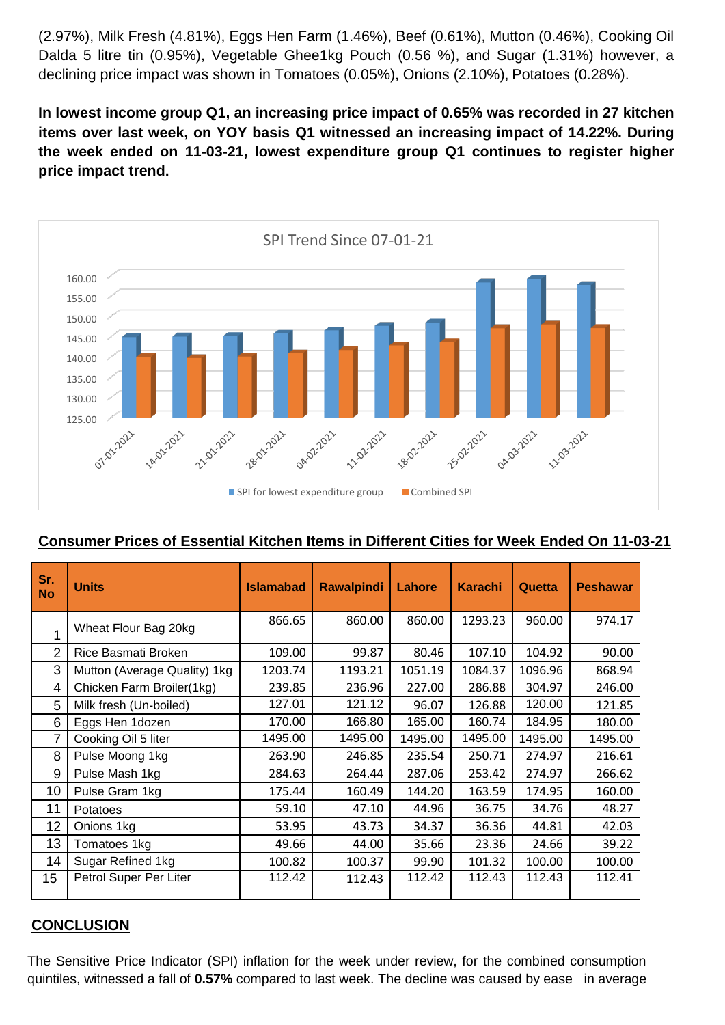(2.97%), Milk Fresh (4.81%), Eggs Hen Farm (1.46%), Beef (0.61%), Mutton (0.46%), Cooking Oil Dalda 5 litre tin (0.95%), Vegetable Ghee1kg Pouch (0.56 %), and Sugar (1.31%) however, a declining price impact was shown in Tomatoes (0.05%), Onions (2.10%), Potatoes (0.28%).

**In lowest income group Q1, an increasing price impact of 0.65% was recorded in 27 kitchen items over last week, on YOY basis Q1 witnessed an increasing impact of 14.22%. During the week ended on 11-03-21, lowest expenditure group Q1 continues to register higher price impact trend.**



## **Consumer Prices of Essential Kitchen Items in Different Cities for Week Ended On 11-03-21**

| Sr.<br><b>No</b> | <b>Units</b>                 | <b>Islamabad</b> | <b>Rawalpindi</b> | Lahore  | <b>Karachi</b> | Quetta  | <b>Peshawar</b> |
|------------------|------------------------------|------------------|-------------------|---------|----------------|---------|-----------------|
|                  | Wheat Flour Bag 20kg         | 866.65           | 860.00            | 860.00  | 1293.23        | 960.00  | 974.17          |
| 2                | Rice Basmati Broken          | 109.00           | 99.87             | 80.46   | 107.10         | 104.92  | 90.00           |
| 3                | Mutton (Average Quality) 1kg | 1203.74          | 1193.21           | 1051.19 | 1084.37        | 1096.96 | 868.94          |
| 4                | Chicken Farm Broiler(1kg)    | 239.85           | 236.96            | 227.00  | 286.88         | 304.97  | 246.00          |
| 5                | Milk fresh (Un-boiled)       | 127.01           | 121.12            | 96.07   | 126.88         | 120.00  | 121.85          |
| 6                | Eggs Hen 1dozen              | 170.00           | 166.80            | 165.00  | 160.74         | 184.95  | 180.00          |
| 7                | Cooking Oil 5 liter          | 1495.00          | 1495.00           | 1495.00 | 1495.00        | 1495.00 | 1495.00         |
| 8                | Pulse Moong 1kg              | 263.90           | 246.85            | 235.54  | 250.71         | 274.97  | 216.61          |
| 9                | Pulse Mash 1kg               | 284.63           | 264.44            | 287.06  | 253.42         | 274.97  | 266.62          |
| 10               | Pulse Gram 1kg               | 175.44           | 160.49            | 144.20  | 163.59         | 174.95  | 160.00          |
| 11               | Potatoes                     | 59.10            | 47.10             | 44.96   | 36.75          | 34.76   | 48.27           |
| 12               | Onions 1kg                   | 53.95            | 43.73             | 34.37   | 36.36          | 44.81   | 42.03           |
| 13               | Tomatoes 1kg                 | 49.66            | 44.00             | 35.66   | 23.36          | 24.66   | 39.22           |
| 14               | Sugar Refined 1kg            | 100.82           | 100.37            | 99.90   | 101.32         | 100.00  | 100.00          |
| 15               | Petrol Super Per Liter       | 112.42           | 112.43            | 112.42  | 112.43         | 112.43  | 112.41          |

## **CONCLUSION**

The Sensitive Price Indicator (SPI) inflation for the week under review, for the combined consumption quintiles, witnessed a fall of **0.57%** compared to last week. The decline was caused by ease in average